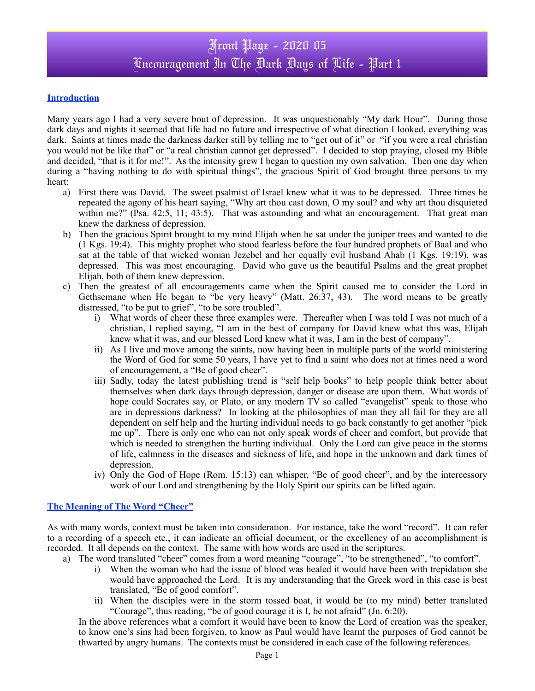# **Introduction**

Many years ago I had a very severe bout of depression. It was unquestionably "My dark Hour". During those dark days and nights it seemed that life had no future and irrespective of what direction I looked, everything was dark. Saints at times made the darkness darker still by telling me to "get out of it" or "if you were a real christian you would not be like that" or "a real christian cannot get depressed". I decided to stop praying, closed my Bible and decided, "that is it for me!". As the intensity grew I began to question my own salvation. Then one day when during a "having nothing to do with spiritual things", the gracious Spirit of God brought three persons to my heart:

- a) First there was David. The sweet psalmist of Israel knew what it was to be depressed. Three times he repeated the agony of his heart saying, "Why art thou cast down, O my soul? and why art thou disquieted within me?" (Psa. 42:5, 11; 43:5). That was astounding and what an encouragement. That great man knew the darkness of depression.
- b) Then the gracious Spirit brought to my mind Elijah when he sat under the juniper trees and wanted to die (1 Kgs. 19:4). This mighty prophet who stood fearless before the four hundred prophets of Baal and who sat at the table of that wicked woman Jezebel and her equally evil husband Ahab (1 Kgs. 19:19), was depressed. This was most encouraging. David who gave us the beautiful Psalms and the great prophet Elijah, both of them knew depression.
- c) Then the greatest of all encouragements came when the Spirit caused me to consider the Lord in Gethsemane when He began to "be very heavy" (Matt. 26:37, 43). The word means to be greatly distressed, "to be put to grief", "to be sore troubled".
	- i) What words of cheer these three examples were. Thereafter when I was told I was not much of a christian, I replied saying, "I am in the best of company for David knew what this was, Elijah knew what it was, and our blessed Lord knew what it was, I am in the best of company".
	- ii) As I live and move among the saints, now having been in multiple parts of the world ministering the Word of God for some 50 years, I have yet to find a saint who does not at times need a word of encouragement, a "Be of good cheer".
	- iii) Sadly, today the latest publishing trend is "self help books" to help people think better about themselves when dark days through depression, danger or disease are upon them. What words of hope could Socrates say, or Plato, or any modern TV so called "evangelist" speak to those who are in depressions darkness? In looking at the philosophies of man they all fail for they are all dependent on self help and the hurting individual needs to go back constantly to get another "pick me up". There is only one who can not only speak words of cheer and comfort, but provide that which is needed to strengthen the hurting individual. Only the Lord can give peace in the storms of life, calmness in the diseases and sickness of life, and hope in the unknown and dark times of depression.
	- iv) Only the God of Hope (Rom. 15:13) can whisper, "Be of good cheer", and by the intercessory work of our Lord and strengthening by the Holy Spirit our spirits can be lifted again.

#### **The Meaning of The Word "Cheer"**

As with many words, context must be taken into consideration. For instance, take the word "record". It can refer to a recording of a speech etc., it can indicate an official document, or the excellency of an accomplishment is recorded. It all depends on the context. The same with how words are used in the scriptures.

- a) The word translated "cheer" comes from a word meaning "courage", "to be strengthened", "to comfort".
	- i) When the woman who had the issue of blood was healed it would have been with trepidation she would have approached the Lord. It is my understanding that the Greek word in this case is best translated, "Be of good comfort".
	- ii) When the disciples were in the storm tossed boat, it would be (to my mind) better translated "Courage", thus reading, "be of good courage it is I, be not afraid" (Jn. 6:20).

In the above references what a comfort it would have been to know the Lord of creation was the speaker, to know one's sins had been forgiven, to know as Paul would have learnt the purposes of God cannot be thwarted by angry humans. The contexts must be considered in each case of the following references.